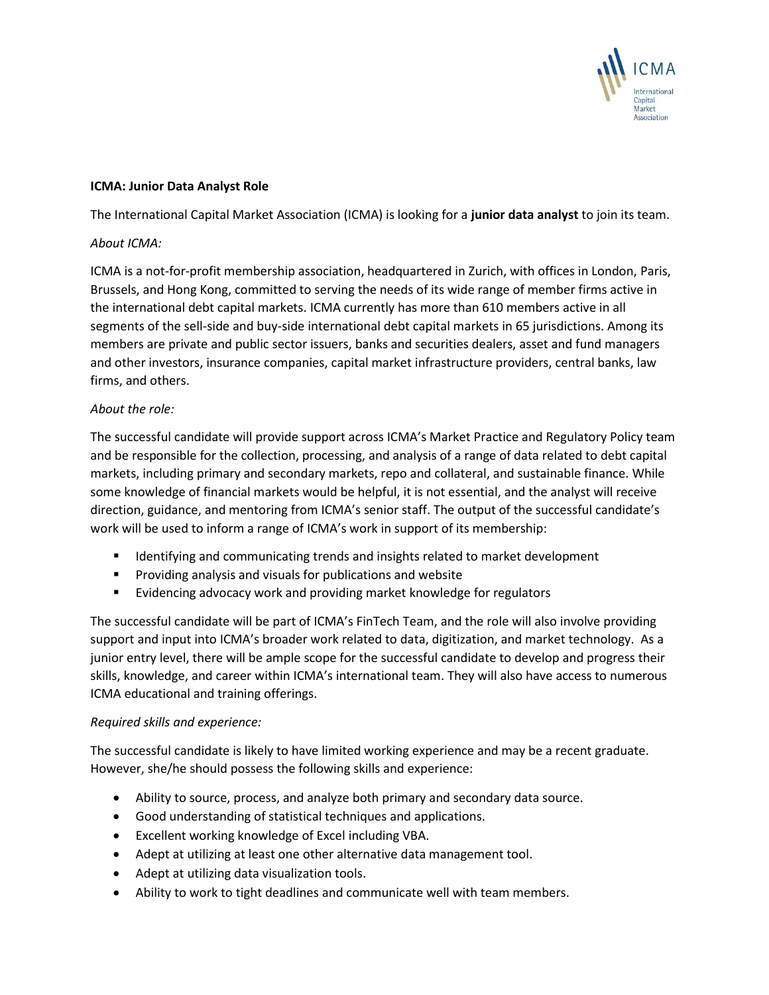

### **ICMA: Junior Data Analyst Role**

The International Capital Market Association (ICMA) is looking for a **junior data analyst** to join its team.

### *About ICMA:*

ICMA is a not-for-profit membership association, headquartered in Zurich, with offices in London, Paris, Brussels, and Hong Kong, committed to serving the needs of its wide range of member firms active in the international debt capital markets. ICMA currently has more than 610 members active in all segments of the sell-side and buy-side international debt capital markets in 65 jurisdictions. Among its members are private and public sector issuers, banks and securities dealers, asset and fund managers and other investors, insurance companies, capital market infrastructure providers, central banks, law firms, and others.

# *About the role:*

The successful candidate will provide support across ICMA's Market Practice and Regulatory Policy team and be responsible for the collection, processing, and analysis of a range of data related to debt capital markets, including primary and secondary markets, repo and collateral, and sustainable finance. While some knowledge of financial markets would be helpful, it is not essential, and the analyst will receive direction, guidance, and mentoring from ICMA's senior staff. The output of the successful candidate's work will be used to inform a range of ICMA's work in support of its membership:

- Identifying and communicating trends and insights related to market development
- Providing analysis and visuals for publications and website
- Evidencing advocacy work and providing market knowledge for regulators

The successful candidate will be part of ICMA's FinTech Team, and the role will also involve providing support and input into ICMA's broader work related to data, digitization, and market technology. As a junior entry level, there will be ample scope for the successful candidate to develop and progress their skills, knowledge, and career within ICMA's international team. They will also have access to numerous ICMA educational and training offerings.

# *Required skills and experience:*

The successful candidate is likely to have limited working experience and may be a recent graduate. However, she/he should possess the following skills and experience:

- Ability to source, process, and analyze both primary and secondary data source.
- Good understanding of statistical techniques and applications.
- Excellent working knowledge of Excel including VBA.
- Adept at utilizing at least one other alternative data management tool.
- Adept at utilizing data visualization tools.
- Ability to work to tight deadlines and communicate well with team members.